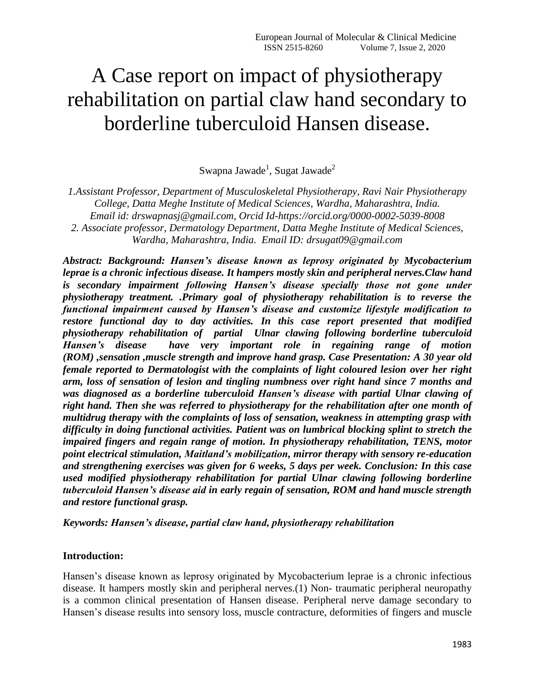# A Case report on impact of physiotherapy rehabilitation on partial claw hand secondary to borderline tuberculoid Hansen disease.

 $\mathbf S$ wapna Jawade $^1$ ,  $\mathbf S$ ugat Jawade $^2$ 

*1.Assistant Professor, Department of Musculoskeletal Physiotherapy, Ravi Nair Physiotherapy College, Datta Meghe Institute of Medical Sciences, Wardha, Maharashtra, India. Email id: drswapnasj@gmail.com, Orcid Id-https://orcid.org/0000-0002-5039-8008 2. Associate professor, Dermatology Department, Datta Meghe Institute of Medical Sciences, Wardha, Maharashtra, India. Email ID: drsugat09@gmail.com*

*Abstract: Background: Hansen's disease known as leprosy originated by Mycobacterium leprae is a chronic infectious disease. It hampers mostly skin and peripheral nerves.Claw hand is secondary impairment following Hansen's disease specially those not gone under physiotherapy treatment. .Primary goal of physiotherapy rehabilitation is to reverse the functional impairment caused by Hansen's disease and customize lifestyle modification to restore functional day to day activities. In this case report presented that modified physiotherapy rehabilitation of partial Ulnar clawing following borderline tuberculoid Hansen's disease have very important role in regaining range of motion (ROM) ,sensation ,muscle strength and improve hand grasp. Case Presentation: A 30 year old female reported to Dermatologist with the complaints of light coloured lesion over her right arm, loss of sensation of lesion and tingling numbness over right hand since 7 months and was diagnosed as a borderline tuberculoid Hansen's disease with partial Ulnar clawing of right hand. Then she was referred to physiotherapy for the rehabilitation after one month of multidrug therapy with the complaints of loss of sensation, weakness in attempting grasp with difficulty in doing functional activities. Patient was on lumbrical blocking splint to stretch the impaired fingers and regain range of motion. In physiotherapy rehabilitation, TENS, motor point electrical stimulation, Maitland's mobilization, mirror therapy with sensory re-education and strengthening exercises was given for 6 weeks, 5 days per week. Conclusion: In this case used modified physiotherapy rehabilitation for partial Ulnar clawing following borderline tuberculoid Hansen's disease aid in early regain of sensation, ROM and hand muscle strength and restore functional grasp.*

*Keywords: Hansen's disease, partial claw hand, physiotherapy rehabilitation*

#### **Introduction:**

Hansen's disease known as leprosy originated by Mycobacterium leprae is a chronic infectious disease. It hampers mostly skin and peripheral nerves.(1) Non- traumatic peripheral neuropathy is a common clinical presentation of Hansen disease. Peripheral nerve damage secondary to Hansen's disease results into sensory loss, muscle contracture, deformities of fingers and muscle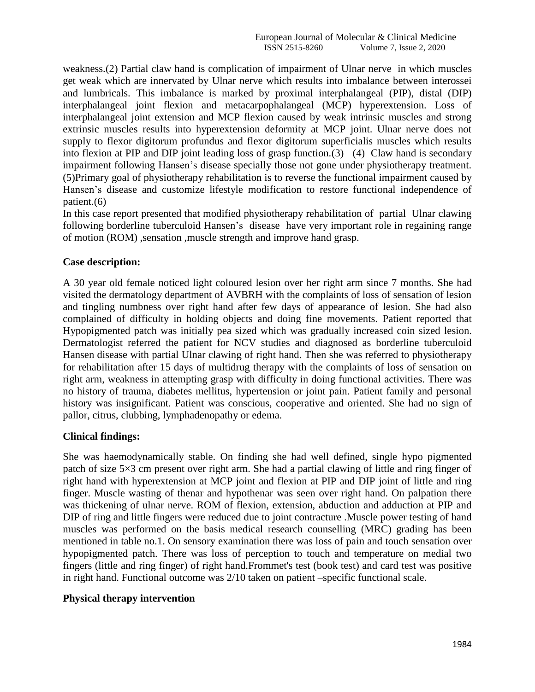weakness.(2) Partial claw hand is complication of impairment of Ulnar nerve in which muscles get weak which are innervated by Ulnar nerve which results into imbalance between interossei and lumbricals. This imbalance is marked by proximal interphalangeal (PIP), distal (DIP) interphalangeal joint flexion and metacarpophalangeal (MCP) hyperextension. Loss of interphalangeal joint extension and MCP flexion caused by weak intrinsic muscles and strong extrinsic muscles results into hyperextension deformity at MCP joint. Ulnar nerve does not supply to flexor digitorum profundus and flexor digitorum superficialis muscles which results into flexion at PIP and DIP joint leading loss of grasp function.(3) (4) Claw hand is secondary impairment following Hansen's disease specially those not gone under physiotherapy treatment. (5)Primary goal of physiotherapy rehabilitation is to reverse the functional impairment caused by Hansen's disease and customize lifestyle modification to restore functional independence of patient.(6)

In this case report presented that modified physiotherapy rehabilitation of partial Ulnar clawing following borderline tuberculoid Hansen's disease have very important role in regaining range of motion (ROM) ,sensation ,muscle strength and improve hand grasp.

## **Case description:**

A 30 year old female noticed light coloured lesion over her right arm since 7 months. She had visited the dermatology department of AVBRH with the complaints of loss of sensation of lesion and tingling numbness over right hand after few days of appearance of lesion. She had also complained of difficulty in holding objects and doing fine movements. Patient reported that Hypopigmented patch was initially pea sized which was gradually increased coin sized lesion. Dermatologist referred the patient for NCV studies and diagnosed as borderline tuberculoid Hansen disease with partial Ulnar clawing of right hand. Then she was referred to physiotherapy for rehabilitation after 15 days of multidrug therapy with the complaints of loss of sensation on right arm, weakness in attempting grasp with difficulty in doing functional activities. There was no history of trauma, diabetes mellitus, hypertension or joint pain. Patient family and personal history was insignificant. Patient was conscious, cooperative and oriented. She had no sign of pallor, citrus, clubbing, lymphadenopathy or edema.

#### **Clinical findings:**

She was haemodynamically stable. On finding she had well defined, single hypo pigmented patch of size 5×3 cm present over right arm. She had a partial clawing of little and ring finger of right hand with hyperextension at MCP joint and flexion at PIP and DIP joint of little and ring finger. Muscle wasting of thenar and hypothenar was seen over right hand. On palpation there was thickening of ulnar nerve. ROM of flexion, extension, abduction and adduction at PIP and DIP of ring and little fingers were reduced due to joint contracture .Muscle power testing of hand muscles was performed on the basis medical research counselling (MRC) grading has been mentioned in table no.1. On sensory examination there was loss of pain and touch sensation over hypopigmented patch. There was loss of perception to touch and temperature on medial two fingers (little and ring finger) of right hand.Frommet's test (book test) and card test was positive in right hand. Functional outcome was 2/10 taken on patient –specific functional scale.

#### **Physical therapy intervention**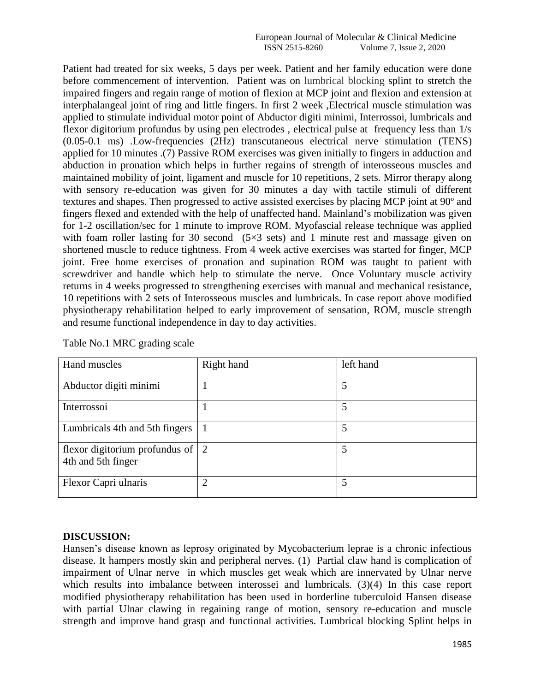Patient had treated for six weeks, 5 days per week. Patient and her family education were done before commencement of intervention. Patient was on lumbrical blocking splint to stretch the impaired fingers and regain range of motion of flexion at MCP joint and flexion and extension at interphalangeal joint of ring and little fingers. In first 2 week ,Electrical muscle stimulation was applied to stimulate individual motor point of Abductor digiti minimi, Interrossoi, lumbricals and flexor digitorium profundus by using pen electrodes , electrical pulse at frequency less than 1/s (0.05-0.1 ms) .Low-frequencies (2Hz) transcutaneous electrical nerve stimulation (TENS) applied for 10 minutes .(7) Passive ROM exercises was given initially to fingers in adduction and abduction in pronation which helps in further regains of strength of interosseous muscles and maintained mobility of joint, ligament and muscle for 10 repetitions, 2 sets. Mirror therapy along with sensory re-education was given for 30 minutes a day with tactile stimuli of different textures and shapes. Then progressed to active assisted exercises by placing MCP joint at 90º and fingers flexed and extended with the help of unaffected hand. Mainland's mobilization was given for 1-2 oscillation/sec for 1 minute to improve ROM. Myofascial release technique was applied with foam roller lasting for 30 second  $(5\times3$  sets) and 1 minute rest and massage given on shortened muscle to reduce tightness. From 4 week active exercises was started for finger, MCP joint. Free home exercises of pronation and supination ROM was taught to patient with screwdriver and handle which help to stimulate the nerve. Once Voluntary muscle activity returns in 4 weeks progressed to strengthening exercises with manual and mechanical resistance, 10 repetitions with 2 sets of Interosseous muscles and lumbricals. In case report above modified physiotherapy rehabilitation helped to early improvement of sensation, ROM, muscle strength and resume functional independence in day to day activities.

| Hand muscles                                             | Right hand     | left hand |
|----------------------------------------------------------|----------------|-----------|
| Abductor digiti minimi                                   |                |           |
| Interrossoi                                              |                |           |
| Lumbricals 4th and 5th fingers                           |                |           |
| flexor digitorium profundus of   2<br>4th and 5th finger |                |           |
| Flexor Capri ulnaris                                     | $\mathfrak{D}$ |           |

Table No.1 MRC grading scale

#### **DISCUSSION:**

Hansen's disease known as leprosy originated by Mycobacterium leprae is a chronic infectious disease. It hampers mostly skin and peripheral nerves. (1) Partial claw hand is complication of impairment of Ulnar nerve in which muscles get weak which are innervated by Ulnar nerve which results into imbalance between interossei and lumbricals. (3)(4) In this case report modified physiotherapy rehabilitation has been used in borderline tuberculoid Hansen disease with partial Ulnar clawing in regaining range of motion, sensory re-education and muscle strength and improve hand grasp and functional activities. Lumbrical blocking Splint helps in